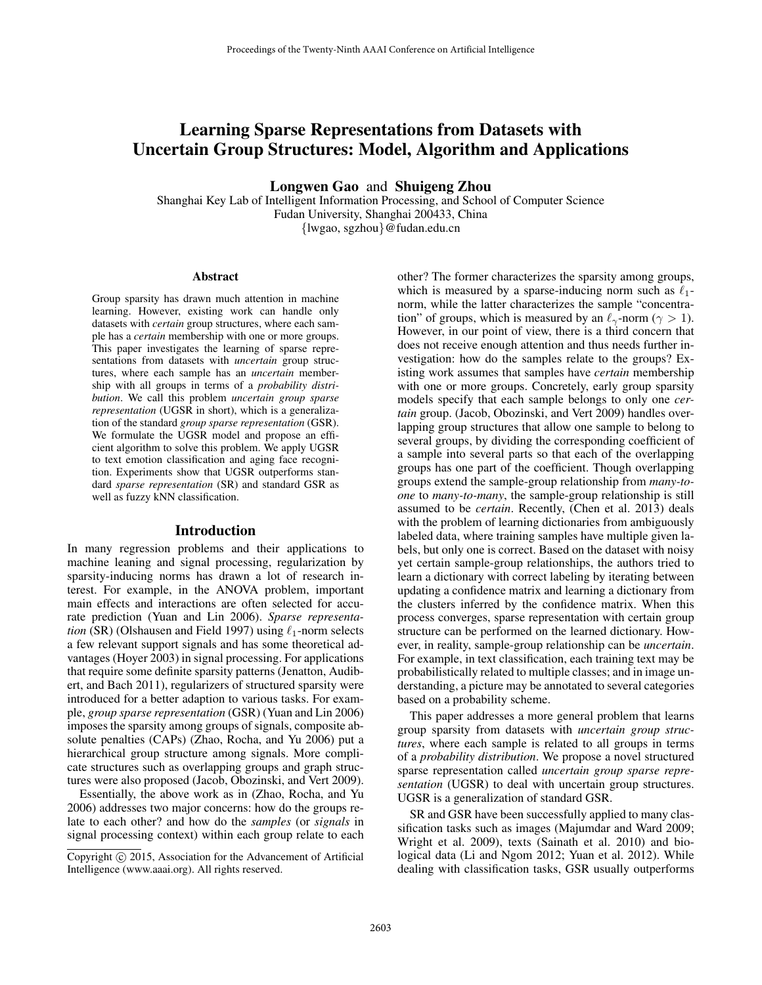# Learning Sparse Representations from Datasets with Uncertain Group Structures: Model, Algorithm and Applications

Longwen Gao and Shuigeng Zhou

Shanghai Key Lab of Intelligent Information Processing, and School of Computer Science Fudan University, Shanghai 200433, China {lwgao, sgzhou}@fudan.edu.cn

#### Abstract

Group sparsity has drawn much attention in machine learning. However, existing work can handle only datasets with *certain* group structures, where each sample has a *certain* membership with one or more groups. This paper investigates the learning of sparse representations from datasets with *uncertain* group structures, where each sample has an *uncertain* membership with all groups in terms of a *probability distribution*. We call this problem *uncertain group sparse representation* (UGSR in short), which is a generalization of the standard *group sparse representation* (GSR). We formulate the UGSR model and propose an efficient algorithm to solve this problem. We apply UGSR to text emotion classification and aging face recognition. Experiments show that UGSR outperforms standard *sparse representation* (SR) and standard GSR as well as fuzzy kNN classification.

## Introduction

In many regression problems and their applications to machine leaning and signal processing, regularization by sparsity-inducing norms has drawn a lot of research interest. For example, in the ANOVA problem, important main effects and interactions are often selected for accurate prediction (Yuan and Lin 2006). *Sparse representation* (SR) (Olshausen and Field 1997) using  $\ell_1$ -norm selects a few relevant support signals and has some theoretical advantages (Hoyer 2003) in signal processing. For applications that require some definite sparsity patterns (Jenatton, Audibert, and Bach 2011), regularizers of structured sparsity were introduced for a better adaption to various tasks. For example, *group sparse representation* (GSR) (Yuan and Lin 2006) imposes the sparsity among groups of signals, composite absolute penalties (CAPs) (Zhao, Rocha, and Yu 2006) put a hierarchical group structure among signals. More complicate structures such as overlapping groups and graph structures were also proposed (Jacob, Obozinski, and Vert 2009).

Essentially, the above work as in (Zhao, Rocha, and Yu 2006) addresses two major concerns: how do the groups relate to each other? and how do the *samples* (or *signals* in signal processing context) within each group relate to each other? The former characterizes the sparsity among groups, which is measured by a sparse-inducing norm such as  $\ell_1$ norm, while the latter characterizes the sample "concentration" of groups, which is measured by an  $\ell_{\gamma}$ -norm ( $\gamma > 1$ ). However, in our point of view, there is a third concern that does not receive enough attention and thus needs further investigation: how do the samples relate to the groups? Existing work assumes that samples have *certain* membership with one or more groups. Concretely, early group sparsity models specify that each sample belongs to only one *certain* group. (Jacob, Obozinski, and Vert 2009) handles overlapping group structures that allow one sample to belong to several groups, by dividing the corresponding coefficient of a sample into several parts so that each of the overlapping groups has one part of the coefficient. Though overlapping groups extend the sample-group relationship from *many-toone* to *many-to-many*, the sample-group relationship is still assumed to be *certain*. Recently, (Chen et al. 2013) deals with the problem of learning dictionaries from ambiguously labeled data, where training samples have multiple given labels, but only one is correct. Based on the dataset with noisy yet certain sample-group relationships, the authors tried to learn a dictionary with correct labeling by iterating between updating a confidence matrix and learning a dictionary from the clusters inferred by the confidence matrix. When this process converges, sparse representation with certain group structure can be performed on the learned dictionary. However, in reality, sample-group relationship can be *uncertain*. For example, in text classification, each training text may be probabilistically related to multiple classes; and in image understanding, a picture may be annotated to several categories based on a probability scheme.

This paper addresses a more general problem that learns group sparsity from datasets with *uncertain group structures*, where each sample is related to all groups in terms of a *probability distribution*. We propose a novel structured sparse representation called *uncertain group sparse representation* (UGSR) to deal with uncertain group structures. UGSR is a generalization of standard GSR.

SR and GSR have been successfully applied to many classification tasks such as images (Majumdar and Ward 2009; Wright et al. 2009), texts (Sainath et al. 2010) and biological data (Li and Ngom 2012; Yuan et al. 2012). While dealing with classification tasks, GSR usually outperforms

Copyright (c) 2015, Association for the Advancement of Artificial Intelligence (www.aaai.org). All rights reserved.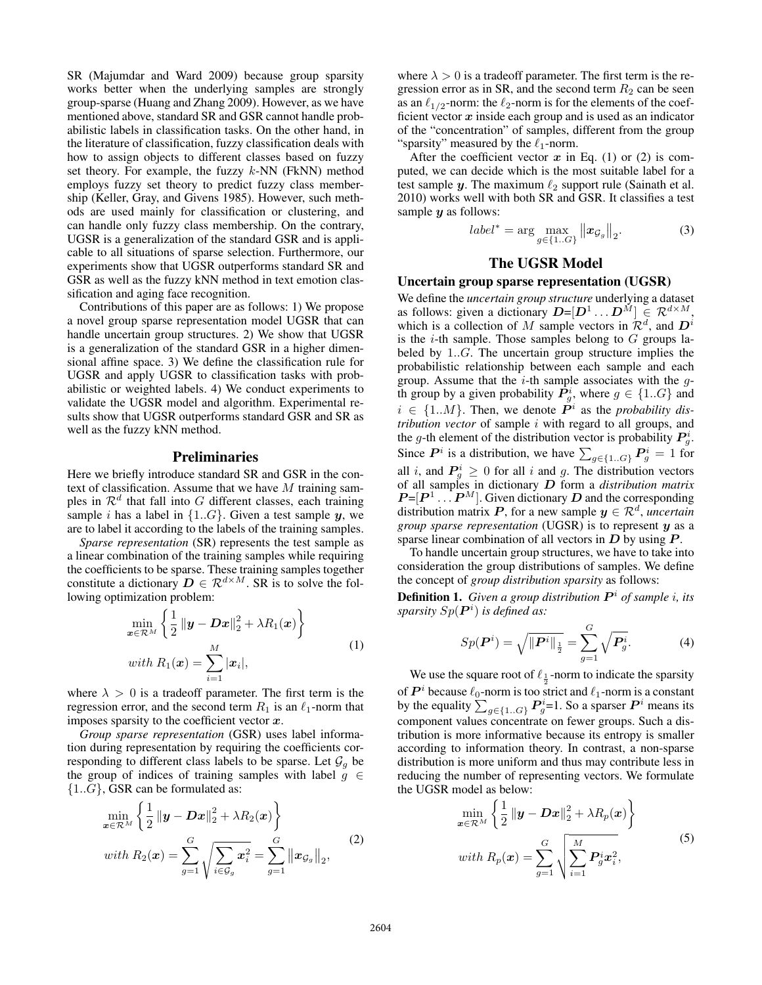SR (Majumdar and Ward 2009) because group sparsity works better when the underlying samples are strongly group-sparse (Huang and Zhang 2009). However, as we have mentioned above, standard SR and GSR cannot handle probabilistic labels in classification tasks. On the other hand, in the literature of classification, fuzzy classification deals with how to assign objects to different classes based on fuzzy set theory. For example, the fuzzy  $k$ -NN (FkNN) method employs fuzzy set theory to predict fuzzy class membership (Keller, Gray, and Givens 1985). However, such methods are used mainly for classification or clustering, and can handle only fuzzy class membership. On the contrary, UGSR is a generalization of the standard GSR and is applicable to all situations of sparse selection. Furthermore, our experiments show that UGSR outperforms standard SR and GSR as well as the fuzzy kNN method in text emotion classification and aging face recognition.

Contributions of this paper are as follows: 1) We propose a novel group sparse representation model UGSR that can handle uncertain group structures. 2) We show that UGSR is a generalization of the standard GSR in a higher dimensional affine space. 3) We define the classification rule for UGSR and apply UGSR to classification tasks with probabilistic or weighted labels. 4) We conduct experiments to validate the UGSR model and algorithm. Experimental results show that UGSR outperforms standard GSR and SR as well as the fuzzy kNN method.

# **Preliminaries**

Here we briefly introduce standard SR and GSR in the context of classification. Assume that we have  $M$  training samples in  $\mathcal{R}^d$  that fall into G different classes, each training sample i has a label in  $\{1..G\}$ . Given a test sample y, we are to label it according to the labels of the training samples.

*Sparse representation* (SR) represents the test sample as a linear combination of the training samples while requiring the coefficients to be sparse. These training samples together constitute a dictionary  $D \in \mathcal{R}^{d \times M}$ . SR is to solve the following optimization problem:

$$
\min_{\mathbf{x} \in \mathcal{R}^M} \left\{ \frac{1}{2} \left\| \mathbf{y} - \mathbf{D} \mathbf{x} \right\|_2^2 + \lambda R_1(\mathbf{x}) \right\}
$$
\nwith  $R_1(\mathbf{x}) = \sum_{i=1}^M |\mathbf{x}_i|,$ \n
$$
(1)
$$

where  $\lambda > 0$  is a tradeoff parameter. The first term is the regression error, and the second term  $R_1$  is an  $\ell_1$ -norm that imposes sparsity to the coefficient vector  $x$ .

*Group sparse representation* (GSR) uses label information during representation by requiring the coefficients corresponding to different class labels to be sparse. Let  $\mathcal{G}_g$  be the group of indices of training samples with label  $g \in$  ${1..G}$ , GSR can be formulated as:

$$
\min_{\mathbf{x}\in\mathcal{R}^M} \left\{ \frac{1}{2} \left\| \mathbf{y} - \mathbf{D}\mathbf{x} \right\|_2^2 + \lambda R_2(\mathbf{x}) \right\} \nwith R_2(\mathbf{x}) = \sum_{g=1}^G \sqrt{\sum_{i \in \mathcal{G}_g} \mathbf{x}_i^2} = \sum_{g=1}^G \left\| \mathbf{x}_{\mathcal{G}_g} \right\|_2,
$$
\n(2)

where  $\lambda > 0$  is a tradeoff parameter. The first term is the regression error as in SR, and the second term  $R_2$  can be seen as an  $\ell_{1/2}$ -norm: the  $\ell_2$ -norm is for the elements of the coefficient vector  $x$  inside each group and is used as an indicator of the "concentration" of samples, different from the group "sparsity" measured by the  $\ell_1$ -norm.

After the coefficient vector  $x$  in Eq. (1) or (2) is computed, we can decide which is the most suitable label for a test sample  $y$ . The maximum  $\ell_2$  support rule (Sainath et al. 2010) works well with both SR and GSR. It classifies a test sample  $y$  as follows:

$$
label^* = \arg\max_{g \in \{1..G\}} \left\| \boldsymbol{x}_{\mathcal{G}_g} \right\|_2.
$$
 (3)

# The UGSR Model

## Uncertain group sparse representation (UGSR)

We define the *uncertain group structure* underlying a dataset as follows: given a dictionary  $D=[D^1 \dots D^M] \in \mathcal{R}^{d \times M}$ , which is a collection of M sample vectors in  $\mathcal{R}^d$ , and  $D^i$ is the *i*-th sample. Those samples belong to  $G$  groups labeled by 1..G. The uncertain group structure implies the probabilistic relationship between each sample and each group. Assume that the  $i$ -th sample associates with the  $g$ th group by a given probability  $\overline{P_g}$ , where  $g \in \{1..G\}$  and  $i \in \{1..M\}$ . Then, we denote  $\mathbf{P}^i$  as the *probability distribution vector* of sample i with regard to all groups, and the g-th element of the distribution vector is probability  $P_g^i$ . Since  $P^i$  is a distribution, we have  $\sum_{g \in \{1..G\}} P_g^i = 1$  for all i, and  $P_g^i \ge 0$  for all i and g. The distribution vectors of all samples in dictionary D form a *distribution matrix*  $P=[P^1 \dots P^M]$ . Given dictionary D and the corresponding distribution matrix P, for a new sample  $y \in \mathcal{R}^d$ , *uncertain group sparse representation* (UGSR) is to represent y as a sparse linear combination of all vectors in  $D$  by using  $P$ .

To handle uncertain group structures, we have to take into consideration the group distributions of samples. We define the concept of *group distribution sparsity* as follows:

**Definition 1.** Given a group distribution  $P<sup>i</sup>$  of sample *i*, its sparsity  $Sp(\boldsymbol{P}^i)$  is defined as:

$$
Sp(\mathbf{P}^i) = \sqrt{\|\mathbf{P}^i\|_{\frac{1}{2}}} = \sum_{g=1}^G \sqrt{\mathbf{P}_g^i}.
$$
 (4)

We use the square root of  $\ell_{\frac{1}{2}}$ -norm to indicate the sparsity of  $P^i$  because  $\ell_0$ -norm is too strict and  $\ell_1$ -norm is a constant by the equality  $\sum_{g \in \{1..G\}} P_g^i$ =1. So a sparser  $P^i$  means its component values concentrate on fewer groups. Such a distribution is more informative because its entropy is smaller according to information theory. In contrast, a non-sparse distribution is more uniform and thus may contribute less in reducing the number of representing vectors. We formulate the UGSR model as below:

$$
\min_{\boldsymbol{x} \in \mathcal{R}^M} \left\{ \frac{1}{2} \left\| \boldsymbol{y} - \boldsymbol{D}\boldsymbol{x} \right\|_2^2 + \lambda R_p(\boldsymbol{x}) \right\}
$$
\nwith  $R_p(\boldsymbol{x}) = \sum_{g=1}^G \sqrt{\sum_{i=1}^M \boldsymbol{P}_g^i \boldsymbol{x}_i^2},$ \n
$$
(5)
$$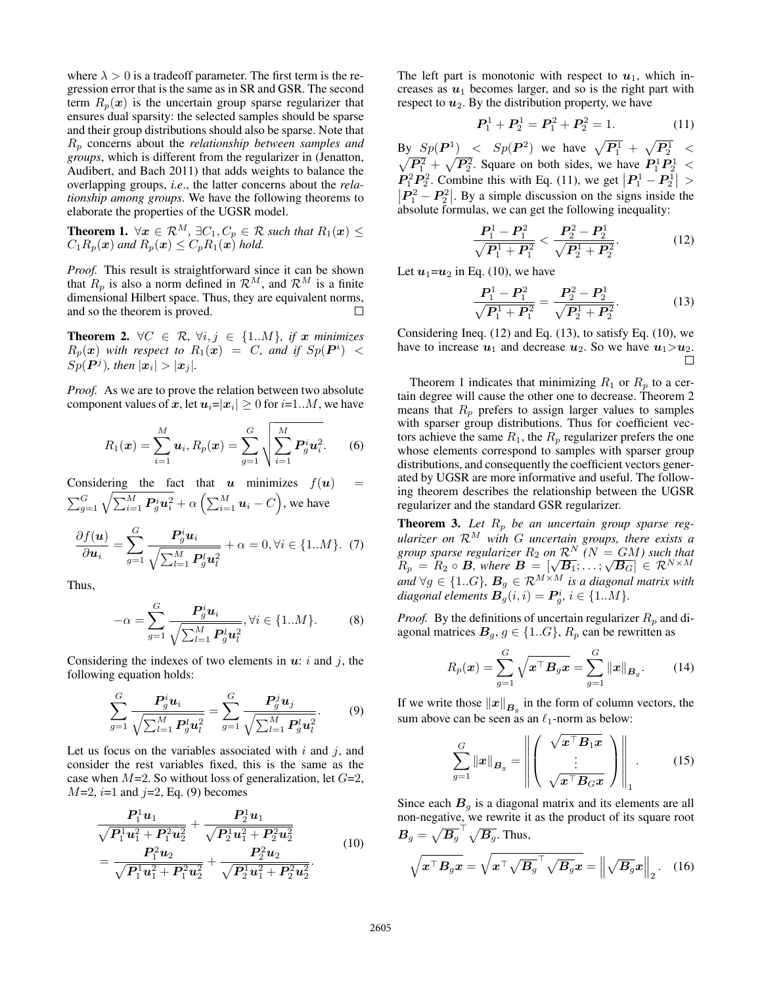where  $\lambda > 0$  is a tradeoff parameter. The first term is the regression error that is the same as in SR and GSR. The second term  $R_p(x)$  is the uncertain group sparse regularizer that ensures dual sparsity: the selected samples should be sparse and their group distributions should also be sparse. Note that R<sup>p</sup> concerns about the *relationship between samples and groups*, which is different from the regularizer in (Jenatton, Audibert, and Bach 2011) that adds weights to balance the overlapping groups, *i.e*., the latter concerns about the *relationship among groups*. We have the following theorems to elaborate the properties of the UGSR model.

**Theorem 1.**  $\forall x \in \mathcal{R}^M$ ,  $\exists C_1, C_p \in \mathcal{R}$  such that  $R_1(x) \leq$  $C_1R_p(\boldsymbol{x})$  and  $R_p(\boldsymbol{x}) \leq C_pR_1(\boldsymbol{x})$  hold.

*Proof.* This result is straightforward since it can be shown that  $R_p$  is also a norm defined in  $\mathcal{R}^M$ , and  $\mathcal{R}^M$  is a finite dimensional Hilbert space. Thus, they are equivalent norms, and so the theorem is proved. П

**Theorem 2.**  $\forall C \in \mathcal{R}, \forall i, j \in \{1..M\}, \text{if } x \text{ minimizes}$  $R_p(x)$  with respect to  $R_1(x) = C$ , and if  $Sp(P^i)$  <  $Sp(P<sup>j</sup>)$ , then  $|x_i| > |x_j|$ .

*Proof.* As we are to prove the relation between two absolute component values of  $\boldsymbol{x},$  let  $\boldsymbol{u}_i\!\!=\!\!|\boldsymbol{x}_i|\geq 0$  for  $i\!\!=\!\!1..M,$  we have

$$
R_1(\boldsymbol{x}) = \sum_{i=1}^M \boldsymbol{u}_i, R_p(\boldsymbol{x}) = \sum_{g=1}^G \sqrt{\sum_{i=1}^M \boldsymbol{P}_g^i \boldsymbol{u}_i^2}.
$$
 (6)

Considering the fact that  $u$  minimizes  $f(u)$  =  $\sum_{g=1}^G \sqrt{\sum_{i=1}^M \bm{P}_g^i \bm{u}_i^2} + \alpha \left(\sum_{i=1}^M \bm{u}_i - C\right)$ , we have

$$
\frac{\partial f(\boldsymbol{u})}{\partial \boldsymbol{u}_i} = \sum_{g=1}^G \frac{\boldsymbol{P}_g^i \boldsymbol{u}_i}{\sqrt{\sum_{l=1}^M \boldsymbol{P}_g^l \boldsymbol{u}_l^2}} + \alpha = 0, \forall i \in \{1..M\}. \tag{7}
$$

Thus,

$$
-\alpha = \sum_{g=1}^{G} \frac{\boldsymbol{P}_g^i \boldsymbol{u}_i}{\sqrt{\sum_{l=1}^{M} \boldsymbol{P}_g^l \boldsymbol{u}_l^2}}, \forall i \in \{1..M\}.
$$
 (8)

Considering the indexes of two elements in  $u: i$  and j, the following equation holds:

$$
\sum_{g=1}^{G} \frac{\boldsymbol{P}_{g}^{i} \boldsymbol{u}_{i}}{\sqrt{\sum_{l=1}^{M} \boldsymbol{P}_{g}^{l} \boldsymbol{u}_{l}^{2}}} = \sum_{g=1}^{G} \frac{\boldsymbol{P}_{g}^{j} \boldsymbol{u}_{j}}{\sqrt{\sum_{l=1}^{M} \boldsymbol{P}_{g}^{l} \boldsymbol{u}_{l}^{2}}}.
$$
(9)

Let us focus on the variables associated with  $i$  and  $j$ , and consider the rest variables fixed, this is the same as the case when  $M=2$ . So without loss of generalization, let  $G=2$ ,  $M=2$ ,  $i=1$  and  $j=2$ , Eq. (9) becomes

$$
\frac{P_1^1 u_1}{\sqrt{P_1^1 u_1^2 + P_1^2 u_2^2}} + \frac{P_2^1 u_1}{\sqrt{P_2^1 u_1^2 + P_2^2 u_2^2}} = \frac{P_1^2 u_2}{\sqrt{P_1^1 u_1^2 + P_1^2 u_2^2}} + \frac{P_2^2 u_2}{\sqrt{P_2^1 u_1^2 + P_2^2 u_2^2}}.
$$
\n(10)

The left part is monotonic with respect to  $u_1$ , which increases as  $u_1$  becomes larger, and so is the right part with respect to  $u_2$ . By the distribution property, we have

$$
P_1^1 + P_2^1 = P_1^2 + P_2^2 = 1.
$$
 (11)

By  $Sp(\mathbf{P}^1)$  <  $Sp(\mathbf{P}^2)$  we have  $\sqrt{\mathbf{P}^1_1} + \sqrt{\mathbf{P}^1_2}$  <  $\sqrt{P_1^2} + \sqrt{P_2^2}$ . Square on both sides, we have  $P_1^1 P_2^1 <$  $P_1^2 P_2^2$ . Combine this with Eq. (11), we get  $|P_1^1 - P_2^1| >$  $\left| \frac{\mathbf{P}_1^2 - \mathbf{P}_2^2}{\mathbf{P}_1^2} \right|$ . By a simple discussion on the signs inside the absolute formulas, we can get the following inequality:

$$
\frac{P_1^1 - P_1^2}{\sqrt{P_1^1 + P_1^2}} < \frac{P_2^2 - P_2^1}{\sqrt{P_2^1 + P_2^2}}.\tag{12}
$$

Let  $u_1=u_2$  in Eq. (10), we have

$$
\frac{P_1^1 - P_1^2}{\sqrt{P_1^1 + P_1^2}} = \frac{P_2^2 - P_2^1}{\sqrt{P_2^1 + P_2^2}}.
$$
 (13)

Considering Ineq. (12) and Eq. (13), to satisfy Eq. (10), we have to increase  $u_1$  and decrease  $u_2$ . So we have  $u_1>u_2$ .

Theorem 1 indicates that minimizing  $R_1$  or  $R_p$  to a certain degree will cause the other one to decrease. Theorem 2 means that  $R_p$  prefers to assign larger values to samples with sparser group distributions. Thus for coefficient vectors achieve the same  $R_1$ , the  $R_p$  regularizer prefers the one whose elements correspond to samples with sparser group distributions, and consequently the coefficient vectors generated by UGSR are more informative and useful. The following theorem describes the relationship between the UGSR regularizer and the standard GSR regularizer.

**Theorem 3.** Let  $R_p$  be an uncertain group sparse reg*ularizer on* R<sup>M</sup> *with* G *uncertain groups, there exists a group sparse regularizer*  $R_2$  *on*  $\overline{\mathcal{R}^N}$   $(N = GM)$  such that group sparse regularizer  $R_2$  on  $\mathcal{R}^N$  ( $N = GM$ ) such that  $R_p = R_2 \circ \mathbf{B}$ , where  $\mathbf{B} = [\sqrt{\mathbf{B}_1}; \ldots; \sqrt{\mathbf{B}_G}] \in \mathcal{R}^{N \times M}$ and  $\forall g \in \{1..G\}$ ,  $\bm{B}_g \in \mathcal{R}^{M \times M}$  is a diagonal matrix with  $diagonal$  elements  $\mathbf{B}_g^{\top}(i,i) = \mathbf{P}_g^i$ ,  $i \in \{1..M\}$ .

*Proof.* By the definitions of uncertain regularizer  $R_p$  and diagonal matrices  $B_q$ ,  $q \in \{1..G\}$ ,  $R_p$  can be rewritten as

$$
R_p(\boldsymbol{x}) = \sum_{g=1}^G \sqrt{\boldsymbol{x}^\top \boldsymbol{B}_g \boldsymbol{x}} = \sum_{g=1}^G ||\boldsymbol{x}||_{\boldsymbol{B}_g}.
$$
 (14)

If we write those  $||x||_{B_g}$  in the form of column vectors, the sum above can be seen as an  $\ell_1$ -norm as below:

$$
\sum_{g=1}^{G} ||\boldsymbol{x}||_{\boldsymbol{B}_g} = \left\| \left( \begin{array}{c} \sqrt{\boldsymbol{x}^{\top} \boldsymbol{B}_1 \boldsymbol{x}} \\ \vdots \\ \sqrt{\boldsymbol{x}^{\top} \boldsymbol{B}_G \boldsymbol{x}} \end{array} \right) \right\|_1.
$$
 (15)

Since each  $B<sub>g</sub>$  is a diagonal matrix and its elements are all non-negative, we rewrite it as the product of its square root  $\boldsymbol{B}_g = \sqrt{\boldsymbol{B}_g}^{\top} \sqrt{\boldsymbol{B}_g}.$  Thus,

$$
\sqrt{\boldsymbol{x}^{\top}\boldsymbol{B}_{g}\boldsymbol{x}} = \sqrt{\boldsymbol{x}^{\top}\sqrt{\boldsymbol{B}_{g}}^{\top}\sqrt{\boldsymbol{B}_{g}}\boldsymbol{x}} = \left\|\sqrt{\boldsymbol{B}_{g}}\boldsymbol{x}\right\|_{2}.
$$
 (16)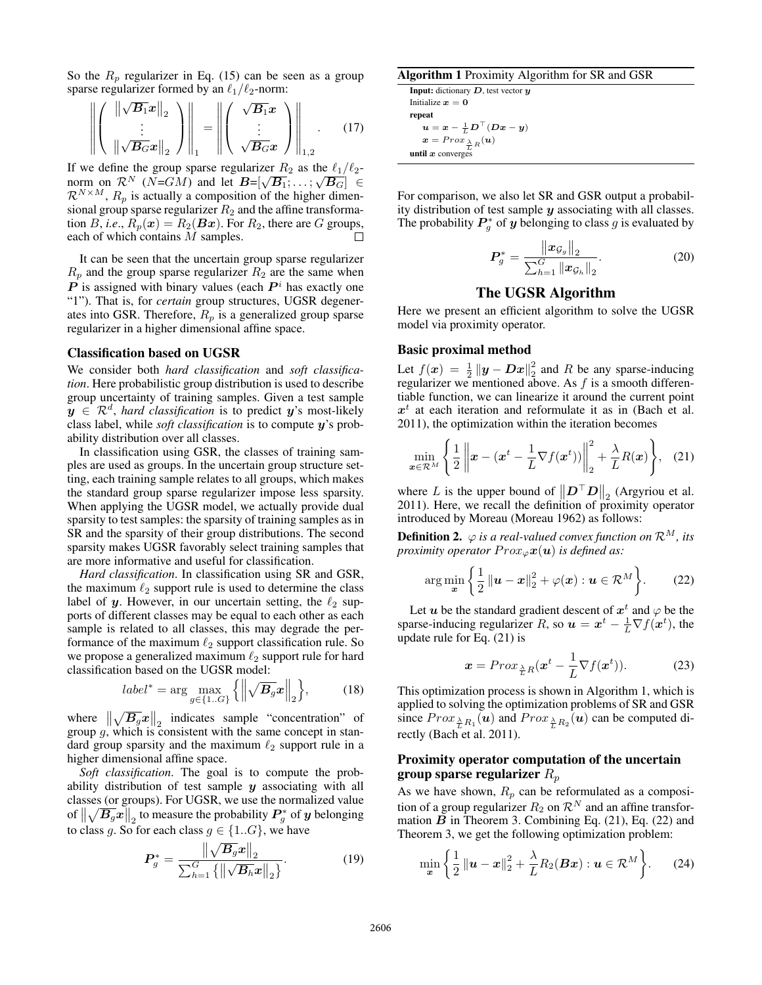So the  $R_p$  regularizer in Eq. (15) can be seen as a group sparse regularizer formed by an  $\ell_1/\ell_2$ -norm:

$$
\left\| \left( \begin{array}{c} \left\| \sqrt{B_1} x \right\|_2 \\ \vdots \\ \left\| \sqrt{B_G} x \right\|_2 \end{array} \right) \right\|_1 = \left\| \left( \begin{array}{c} \sqrt{B_1} x \\ \vdots \\ \sqrt{B_G} x \end{array} \right) \right\|_{1,2} . \tag{17}
$$

If we define the group sparse regularizer  $R_2$  as the  $\ell_1/\ell_2$ norm on  $\mathcal{R}^N$  (N=GM) and let  $\mathbf{B} = [\sqrt{\mathbf{B}_1}; \dots; \sqrt{\mathbf{B}_G}] \in$  $\mathcal{R}^{N \times M}$ ,  $R_p$  is actually a composition of the higher dimensional group sparse regularizer  $R_2$  and the affine transformation B, *i.e.*,  $R_p(x) = R_2(Bx)$ . For  $R_2$ , there are G groups, each of which contains M samples.

It can be seen that the uncertain group sparse regularizer  $R_p$  and the group sparse regularizer  $R_2$  are the same when  $\overline{P}$  is assigned with binary values (each  $P^i$  has exactly one "1"). That is, for *certain* group structures, UGSR degenerates into GSR. Therefore,  $R_p$  is a generalized group sparse regularizer in a higher dimensional affine space.

## Classification based on UGSR

We consider both *hard classification* and *soft classification*. Here probabilistic group distribution is used to describe group uncertainty of training samples. Given a test sample  $y \in \mathcal{R}^d$ , *hard classification* is to predict  $y$ 's most-likely class label, while *soft classification* is to compute y's probability distribution over all classes.

In classification using GSR, the classes of training samples are used as groups. In the uncertain group structure setting, each training sample relates to all groups, which makes the standard group sparse regularizer impose less sparsity. When applying the UGSR model, we actually provide dual sparsity to test samples: the sparsity of training samples as in SR and the sparsity of their group distributions. The second sparsity makes UGSR favorably select training samples that are more informative and useful for classification.

*Hard classification*. In classification using SR and GSR, the maximum  $\ell_2$  support rule is used to determine the class label of y. However, in our uncertain setting, the  $\ell_2$  supports of different classes may be equal to each other as each sample is related to all classes, this may degrade the performance of the maximum  $\ell_2$  support classification rule. So we propose a generalized maximum  $\ell_2$  support rule for hard classification based on the UGSR model:

$$
label^* = \arg\max_{g \in \{1..G\}} \left\{ \left\| \sqrt{B_g} x \right\|_2 \right\},\tag{18}
$$

where  $\left\| \sqrt{B_g} x \right\|_2$  indicates sample "concentration" of group  $g$ , which is consistent with the same concept in standard group sparsity and the maximum  $\ell_2$  support rule in a higher dimensional affine space.

*Soft classification*. The goal is to compute the probability distribution of test sample  $y$  associating with all classes (or groups). For UGSR, we use the normalized value of  $\left\|\sqrt{B_g}x\right\|_2$  to measure the probability  $P_g^*$  of y belonging to class q. So for each class  $q \in \{1..G\}$ , we have

$$
P_g^* = \frac{\left\| \sqrt{B_g} x \right\|_2}{\sum_{h=1}^G \left\{ \left\| \sqrt{B_h} x \right\|_2 \right\}}.
$$
 (19)

### Algorithm 1 Proximity Algorithm for SR and GSR

**Input:** dictionary  $D$ , test vector  $y$ Initialize  $x = 0$ repeat  $\bm{u} = \bm{x} - \frac{1}{L}\bm{D}^\top(\bm{D}\bm{x} - \bm{y})$  $\boldsymbol{x} = Prox \frac{\lambda}{L} R(\boldsymbol{u})$ until  $x$  converges

For comparison, we also let SR and GSR output a probability distribution of test sample  $y$  associating with all classes. The probability  $P_g^*$  of y belonging to class g is evaluated by

$$
\boldsymbol{P}_{g}^{*} = \frac{\left\| \boldsymbol{x}_{\mathcal{G}_{g}} \right\|_{2}}{\sum_{h=1}^{G} \left\| \boldsymbol{x}_{\mathcal{G}_{h}} \right\|_{2}}.
$$
 (20)

# The UGSR Algorithm

Here we present an efficient algorithm to solve the UGSR model via proximity operator.

## Basic proximal method

Let  $f(x) = \frac{1}{2} ||y - Dx||_2^2$  and R be any sparse-inducing regularizer we mentioned above. As  $f$  is a smooth differentiable function, we can linearize it around the current point  $x<sup>t</sup>$  at each iteration and reformulate it as in (Bach et al. 2011), the optimization within the iteration becomes

$$
\min_{\boldsymbol{x}\in\mathcal{R}^M} \left\{ \frac{1}{2} \left\| \boldsymbol{x} - (\boldsymbol{x}^t - \frac{1}{L}\nabla f(\boldsymbol{x}^t)) \right\|_2^2 + \frac{\lambda}{L} R(\boldsymbol{x}) \right\}, \quad (21)
$$

where L is the upper bound of  $||D^{\top}D||_2$  (Argyriou et al. 2011). Here, we recall the definition of proximity operator introduced by Moreau (Moreau 1962) as follows:

**Definition 2.**  $\varphi$  *is a real-valued convex function on*  $\mathcal{R}^M$ *, its proximity operator*  $Prox_{\varphi}x(u)$  *is defined as:* 

$$
\arg\min_{\boldsymbol{x}} \left\{ \frac{1}{2} \left\| \boldsymbol{u} - \boldsymbol{x} \right\|_2^2 + \varphi(\boldsymbol{x}) : \boldsymbol{u} \in \mathcal{R}^M \right\}.
$$
 (22)

Let u be the standard gradient descent of  $x^t$  and  $\varphi$  be the sparse-inducing regularizer R, so  $\mathbf{u} = \mathbf{x}^t - \frac{1}{L} \nabla f(\mathbf{x}^t)$ , the update rule for Eq. (21) is

$$
\boldsymbol{x} = Prox_{\frac{\lambda}{L}R}(\boldsymbol{x}^t - \frac{1}{L}\nabla f(\boldsymbol{x}^t)).
$$
 (23)

This optimization process is shown in Algorithm 1, which is applied to solving the optimization problems of SR and GSR since  $Prox_{\frac{\lambda}{L}R_1}(\boldsymbol{u})$  and  $Prox_{\frac{\lambda}{L}R_2}(\boldsymbol{u})$  can be computed directly (Bach et al. 2011).

# Proximity operator computation of the uncertain group sparse regularizer  $R_p$

As we have shown,  $R_p$  can be reformulated as a composition of a group regularizer  $R_2$  on  $\mathcal{R}^N$  and an affine transformation  $B$  in Theorem 3. Combining Eq. (21), Eq. (22) and Theorem 3, we get the following optimization problem:

$$
\min_{\boldsymbol{x}} \left\{ \frac{1}{2} \left\| \boldsymbol{u} - \boldsymbol{x} \right\|_2^2 + \frac{\lambda}{L} R_2(\boldsymbol{B}\boldsymbol{x}) : \boldsymbol{u} \in \mathcal{R}^M \right\}.
$$
 (24)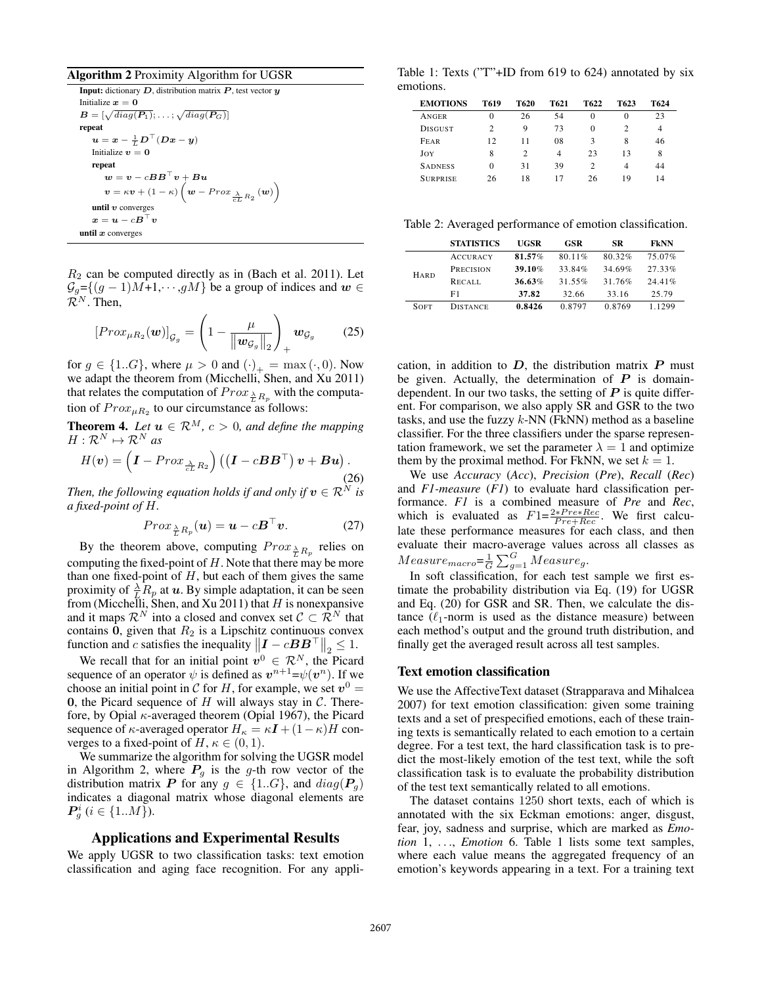### Algorithm 2 Proximity Algorithm for UGSR

Input: dictionary  $D$ , distribution matrix  $P$ , test vector  $y$ Initialize  $x = 0$  $\boldsymbol{B} = [\sqrt{diag(\boldsymbol{P}_1)};\dots;\sqrt{diag(\boldsymbol{P}_G)}]$ repeat  $\bm{u} = \bm{x} - \frac{1}{L}\bm{D}^\top(\bm{D}\bm{x} - \bm{y})$ Initialize  $v = 0$ repeat  $\boldsymbol{w} = \boldsymbol{v} - c\boldsymbol{B}\boldsymbol{B}^\top \boldsymbol{v} + \boldsymbol{B}\boldsymbol{u}$  $\boldsymbol{v} = \kappa \boldsymbol{v} + (1 - \kappa) \left( \boldsymbol{w} - Prox \frac{\lambda}{cL} R_2 \left( \boldsymbol{w} \right) \right)$ until  $v$  converges  $\boldsymbol{x} = \boldsymbol{u} - c\boldsymbol{B}^\top\boldsymbol{v}$ until  $x$  converges

 $R_2$  can be computed directly as in (Bach et al. 2011). Let  $\mathcal{G}_g = \{(g-1)M+1, \dots, gM\}$  be a group of indices and  $w \in$  $\mathcal{R}^N$ . Then,

$$
[Prox_{\mu R_2}(\boldsymbol{w})]_{\mathcal{G}_g} = \left(1 - \frac{\mu}{\left\|\boldsymbol{w}_{\mathcal{G}_g}\right\|_2}\right)_+ \boldsymbol{w}_{\mathcal{G}_g} \qquad (25)
$$

for  $g \in \{1..G\}$ , where  $\mu > 0$  and  $(\cdot)_+ = \max(\cdot, 0)$ . Now we adapt the theorem from (Micchelli, Shen, and Xu 2011) that relates the computation of  $Prox_{\frac{\lambda}{L}R_p}$  with the computation of  $Prox_{\mu R_2}$  to our circumstance as follows:

**Theorem 4.** Let  $u \in \mathbb{R}^M$ ,  $c > 0$ , and define the mapping  $H: \mathcal{R}^N \mapsto \mathcal{R}^N$  as

$$
H(\boldsymbol{v}) = \left(\boldsymbol{I} - Prox_{\frac{\lambda}{cL}R_2}\right) \left(\left(\boldsymbol{I} - c\boldsymbol{B}\boldsymbol{B}^\top\right)\boldsymbol{v} + \boldsymbol{B}\boldsymbol{u}\right).
$$
\n(26)

*Then, the following equation holds if and only if*  $v \in \mathcal{R}^N$  *is a fixed-point of* H*.*

$$
Prox_{\frac{\lambda}{L}R_p}(\boldsymbol{u}) = \boldsymbol{u} - c\boldsymbol{B}^\top \boldsymbol{v}.
$$
 (27)

By the theorem above, computing  $Prox_{\frac{\lambda}{L}R_p}$  relies on computing the fixed-point of  $H$ . Note that there may be more than one fixed-point of  $H$ , but each of them gives the same proximity of  $\frac{\lambda}{L} R_p$  at u. By simple adaptation, it can be seen from (Micchelli, Shen, and Xu 2011) that  $H$  is nonexpansive and it maps  $\mathcal{R}^N$  into a closed and convex set  $\mathcal{C} \subset \mathcal{\hat{R}}^N$  that contains  $0$ , given that  $R_2$  is a Lipschitz continuous convex function and c satisfies the inequality  $\left\| \boldsymbol{I} - c \boldsymbol{B} \boldsymbol{B}^{\top} \right\|_2 \leq 1$ .

We recall that for an initial point  $v^0 \in \mathcal{R}^N$ , the Picard sequence of an operator  $\psi$  is defined as  $v^{n+1} = \psi(v^n)$ . If we choose an initial point in C for H, for example, we set  $v^0 =$ 0, the Picard sequence of  $H$  will always stay in  $C$ . Therefore, by Opial  $\kappa$ -averaged theorem (Opial 1967), the Picard sequence of  $\kappa$ -averaged operator  $H_{\kappa} = \kappa \mathbf{I} + (1 - \kappa)H$  converges to a fixed-point of H,  $\kappa \in (0,1)$ .

We summarize the algorithm for solving the UGSR model in Algorithm 2, where  $P<sub>q</sub>$  is the g-th row vector of the distribution matrix P for any  $g \in \{1..G\}$ , and  $diag(\mathbf{P}_q)$ indicates a diagonal matrix whose diagonal elements are  $\bm{P}_g^i \ (i \in \{1..M\}).$ 

### Applications and Experimental Results

We apply UGSR to two classification tasks: text emotion classification and aging face recognition. For any appli-

Table 1: Texts ("T"+ID from 619 to 624) annotated by six emotions.

| <b>EMOTIONS</b> | T619          | T620           | T621           | T622           | T623           | T624           |
|-----------------|---------------|----------------|----------------|----------------|----------------|----------------|
| ANGER           | $\Omega$      | 26             | 54             | 0              | 0              | 23             |
| <b>DISGUST</b>  | $\mathcal{D}$ | 9              | 73             | 0              | $\overline{c}$ | $\overline{4}$ |
| FEAR            | 12            | 11             | 08             | 3              | 8              | 46             |
| JOY             | 8             | $\overline{c}$ | $\overline{4}$ | 23             | 13             | 8              |
| <b>SADNESS</b>  | $\Omega$      | 31             | 39             | $\mathfrak{D}$ | 4              | 44             |
| SURPRISE        | 26            | 18             | 17             | 26             | 19             | 14             |

Table 2: Averaged performance of emotion classification.

|             | <b>STATISTICS</b> | UGSR   | GSR    | <b>SR</b> | <b>FKNN</b> |
|-------------|-------------------|--------|--------|-----------|-------------|
|             | <b>ACCURACY</b>   | 81.57% | 80.11% | 80.32%    | 75.07%      |
| HARD        | <b>PRECISION</b>  | 39.10% | 33.84% | 34.69%    | 27.33%      |
|             | RECALL            | 36.63% | 31.55% | 31 76%    | 24.41%      |
|             | F1                | 37.82  | 32.66  | 33.16     | 25.79       |
| <b>SOFT</b> | <b>DISTANCE</b>   | 0.8426 | 0.8797 | 0.8769    | 1.1299      |

cation, in addition to  $D$ , the distribution matrix  $P$  must be given. Actually, the determination of  $P$  is domaindependent. In our two tasks, the setting of  $P$  is quite different. For comparison, we also apply SR and GSR to the two tasks, and use the fuzzy  $k$ -NN (FkNN) method as a baseline classifier. For the three classifiers under the sparse representation framework, we set the parameter  $\lambda = 1$  and optimize them by the proximal method. For FkNN, we set  $k = 1$ .

We use *Accuracy* (*Acc*), *Precision* (*Pre*), *Recall* (*Rec*) and *F1-measure* (*F1*) to evaluate hard classification performance. *F1* is a combined measure of *Pre* and *Rec*, which is evaluated as  $F1 = \frac{2*Pre*Rec}{Pre+Rec}$ . We first calculate these performance measures for each class, and then evaluate their macro-average values across all classes as  $Measure_{macro} = \frac{1}{G} \sum_{g=1}^{G} Measure_g$ .

In soft classification, for each test sample we first estimate the probability distribution via Eq. (19) for UGSR and Eq. (20) for GSR and SR. Then, we calculate the distance  $(\ell_1$ -norm is used as the distance measure) between each method's output and the ground truth distribution, and finally get the averaged result across all test samples.

### Text emotion classification

We use the AffectiveText dataset (Strapparava and Mihalcea 2007) for text emotion classification: given some training texts and a set of prespecified emotions, each of these training texts is semantically related to each emotion to a certain degree. For a test text, the hard classification task is to predict the most-likely emotion of the test text, while the soft classification task is to evaluate the probability distribution of the test text semantically related to all emotions.

The dataset contains 1250 short texts, each of which is annotated with the six Eckman emotions: anger, disgust, fear, joy, sadness and surprise, which are marked as *Emotion* 1, ..., *Emotion* 6. Table 1 lists some text samples, where each value means the aggregated frequency of an emotion's keywords appearing in a text. For a training text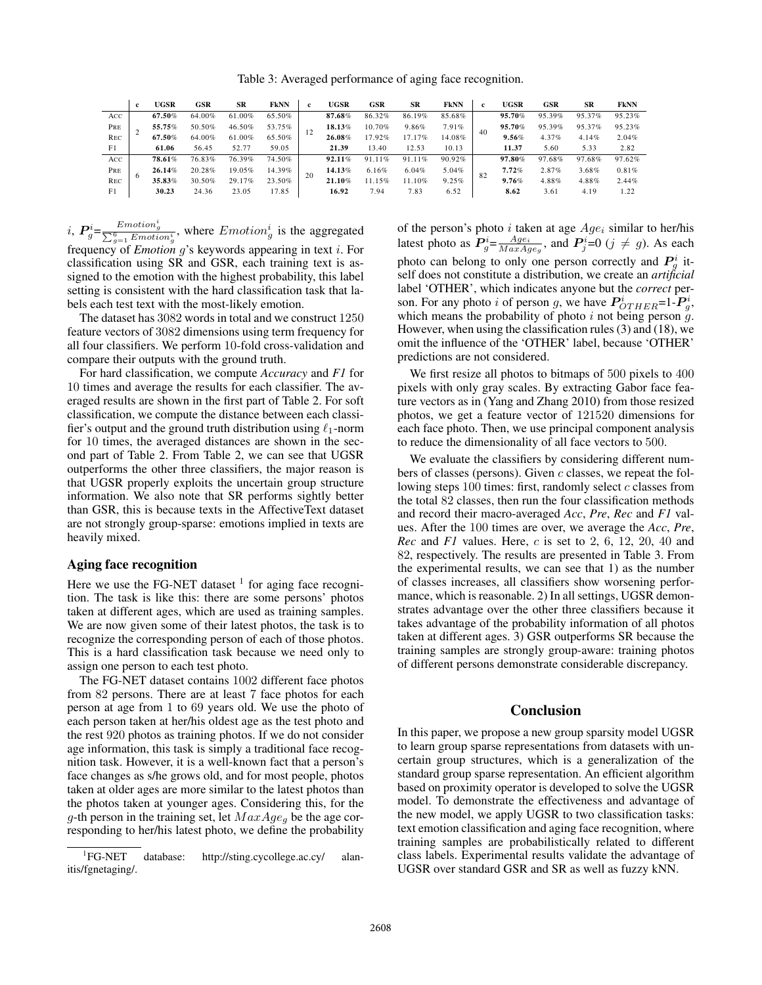Table 3: Averaged performance of aging face recognition.

|                | <b>c</b> | <b>UGSR</b>      | <b>GSR</b> | SR     | <b>FKNN</b> | <b>c</b> | <b>UGSR</b> | GSR    | SR     | FkNN   | c.    | UGSR   | <b>GSR</b> | SR     | FkNN   |
|----------------|----------|------------------|------------|--------|-------------|----------|-------------|--------|--------|--------|-------|--------|------------|--------|--------|
| Acc            |          | 67.50%           | 64.00%     | 61.00% | 65.50%      |          | 87.68%      | 86.32% | 86.19% | 85.68% | 40    | 95.70% | 95.39%     | 95.37% | 95.23% |
| PRE            |          | 55.75%           | 50.50%     | 46.50% | 53.75%      |          | 18.13%      | 10.70% | 9.86%  | 7.91%  |       | 95.70% | 95.39%     | 95.37% | 95.23% |
| <b>REC</b>     |          | 67.50%<br>64.00% | 61.00%     | 65.50% |             | 26.08%   | 17.92%      | 17.17% | 14.08% |        | 9.56% | 4.37%  | 4.14%      | 2.04%  |        |
| F <sub>1</sub> |          | 61.06            | 56.45      | 52.77  | 59.05       |          | 21.39       | 13.40  | 12.53  | 10.13  |       | 11.37  | 5.60       | 5.33   | 2.82   |
| ACC            |          | 78.61%           | 76.83%     | 76.39% | 74.50%      | 20       | 92.11%      | 91.11% | 91.11% | 90.92% | 82    | 97.80% | 97.68%     | 97.68% | 97.62% |
| PRE            |          | 26.14%           | 20.28%     | 19.05% | 14.39%      |          | 14.13%      | 6.16%  | 6.04%  | 5.04%  |       | 7.72%  | 2.87%      | 3.68%  | 0.81%  |
| <b>REC</b>     |          | 35.83%           | 30.50%     | 29.17% | 23.50%      |          | 21.10%      | 1.15%  | 11.10% | 9.25%  |       | 9.76%  | 4.88%      | 4.88%  | 2.44%  |
| F1             |          | 30.23            | 24.36      | 23.05  | 17.85       |          | 16.92       | 7.94   | 7.83   | 6.52   |       | 8.62   | 3.61       | 4.19   | 1.22   |

*i*,  $P_g^i = \frac{Emotion_g^i}{\sum_{g=1}^6 Emotion_g^i}$ , where  $Emotion_g^i$  is the aggregated

frequency of *Emotion* g's keywords appearing in text i. For classification using SR and GSR, each training text is assigned to the emotion with the highest probability, this label setting is consistent with the hard classification task that labels each test text with the most-likely emotion.

The dataset has 3082 words in total and we construct 1250 feature vectors of 3082 dimensions using term frequency for all four classifiers. We perform 10-fold cross-validation and compare their outputs with the ground truth.

For hard classification, we compute *Accuracy* and *F1* for 10 times and average the results for each classifier. The averaged results are shown in the first part of Table 2. For soft classification, we compute the distance between each classifier's output and the ground truth distribution using  $\ell_1$ -norm for 10 times, the averaged distances are shown in the second part of Table 2. From Table 2, we can see that UGSR outperforms the other three classifiers, the major reason is that UGSR properly exploits the uncertain group structure information. We also note that SR performs sightly better than GSR, this is because texts in the AffectiveText dataset are not strongly group-sparse: emotions implied in texts are heavily mixed.

# Aging face recognition

Here we use the FG-NET dataset  $<sup>1</sup>$  for aging face recogni-</sup> tion. The task is like this: there are some persons' photos taken at different ages, which are used as training samples. We are now given some of their latest photos, the task is to recognize the corresponding person of each of those photos. This is a hard classification task because we need only to assign one person to each test photo.

The FG-NET dataset contains 1002 different face photos from 82 persons. There are at least 7 face photos for each person at age from 1 to 69 years old. We use the photo of each person taken at her/his oldest age as the test photo and the rest 920 photos as training photos. If we do not consider age information, this task is simply a traditional face recognition task. However, it is a well-known fact that a person's face changes as s/he grows old, and for most people, photos taken at older ages are more similar to the latest photos than the photos taken at younger ages. Considering this, for the g-th person in the training set, let  $MaxAge_a$  be the age corresponding to her/his latest photo, we define the probability

of the person's photo i taken at age  $Age_i$  similar to her/his latest photo as  $P_g^i = \frac{Age_i}{MaxAge_g}$ , and  $P_g^i = 0$  ( $j \neq g$ ). As each photo can belong to only one person correctly and  $P_g^i$  itself does not constitute a distribution, we create an *artificial* label 'OTHER', which indicates anyone but the *correct* person. For any photo i of person g, we have  $P^i_{OTHER}$ =1- $P^i_g$ , which means the probability of photo  $i$  not being person  $\ddot{g}$ . However, when using the classification rules (3) and (18), we omit the influence of the 'OTHER' label, because 'OTHER' predictions are not considered.

We first resize all photos to bitmaps of 500 pixels to 400 pixels with only gray scales. By extracting Gabor face feature vectors as in (Yang and Zhang 2010) from those resized photos, we get a feature vector of 121520 dimensions for each face photo. Then, we use principal component analysis to reduce the dimensionality of all face vectors to 500.

We evaluate the classifiers by considering different numbers of classes (persons). Given  $c$  classes, we repeat the following steps 100 times: first, randomly select  $c$  classes from the total 82 classes, then run the four classification methods and record their macro-averaged *Acc*, *Pre*, *Rec* and *F1* values. After the 100 times are over, we average the *Acc*, *Pre*, *Rec* and *F1* values. Here, c is set to 2, 6, 12, 20, 40 and 82, respectively. The results are presented in Table 3. From the experimental results, we can see that 1) as the number of classes increases, all classifiers show worsening performance, which is reasonable. 2) In all settings, UGSR demonstrates advantage over the other three classifiers because it takes advantage of the probability information of all photos taken at different ages. 3) GSR outperforms SR because the training samples are strongly group-aware: training photos of different persons demonstrate considerable discrepancy.

# **Conclusion**

In this paper, we propose a new group sparsity model UGSR to learn group sparse representations from datasets with uncertain group structures, which is a generalization of the standard group sparse representation. An efficient algorithm based on proximity operator is developed to solve the UGSR model. To demonstrate the effectiveness and advantage of the new model, we apply UGSR to two classification tasks: text emotion classification and aging face recognition, where training samples are probabilistically related to different class labels. Experimental results validate the advantage of UGSR over standard GSR and SR as well as fuzzy kNN.

 ${}^{1}FG-NET$ database: http://sting.cycollege.ac.cy/ alanitis/fgnetaging/.